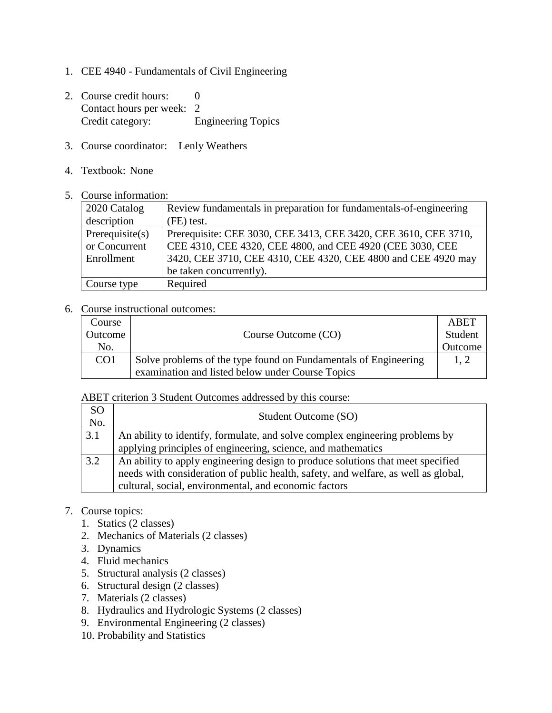- 1. CEE 4940 Fundamentals of Civil Engineering
- 2. Course credit hours: 0 Contact hours per week: 2 Credit category: Engineering Topics
- 3. Course coordinator: Lenly Weathers
- 4. Textbook: None
- 5. Course information:

| 2020 Catalog   | Review fundamentals in preparation for fundamentals-of-engineering |  |
|----------------|--------------------------------------------------------------------|--|
| description    | (FE) test.                                                         |  |
| Prerequires(s) | Prerequisite: CEE 3030, CEE 3413, CEE 3420, CEE 3610, CEE 3710,    |  |
| or Concurrent  | CEE 4310, CEE 4320, CEE 4800, and CEE 4920 (CEE 3030, CEE          |  |
| Enrollment     | 3420, CEE 3710, CEE 4310, CEE 4320, CEE 4800 and CEE 4920 may      |  |
|                | be taken concurrently).                                            |  |
| Course type    | Required                                                           |  |

## 6. Course instructional outcomes:

| Course          |                                                                 | ABET    |
|-----------------|-----------------------------------------------------------------|---------|
| Outcome         | Course Outcome (CO)                                             | Student |
| No.             |                                                                 | Outcome |
| CO <sub>1</sub> | Solve problems of the type found on Fundamentals of Engineering | 1.2     |
|                 | examination and listed below under Course Topics                |         |

ABET criterion 3 Student Outcomes addressed by this course:

| <sub>SO</sub><br>No. | Student Outcome (SO)                                                               |
|----------------------|------------------------------------------------------------------------------------|
| 3.1                  | An ability to identify, formulate, and solve complex engineering problems by       |
|                      | applying principles of engineering, science, and mathematics                       |
| 3.2                  | An ability to apply engineering design to produce solutions that meet specified    |
|                      | needs with consideration of public health, safety, and welfare, as well as global, |
|                      | cultural, social, environmental, and economic factors                              |

- 7. Course topics:
	- 1. Statics (2 classes)
	- 2. Mechanics of Materials (2 classes)
	- 3. Dynamics
	- 4. Fluid mechanics
	- 5. Structural analysis (2 classes)
	- 6. Structural design (2 classes)
	- 7. Materials (2 classes)
	- 8. Hydraulics and Hydrologic Systems (2 classes)
	- 9. Environmental Engineering (2 classes)
	- 10. Probability and Statistics